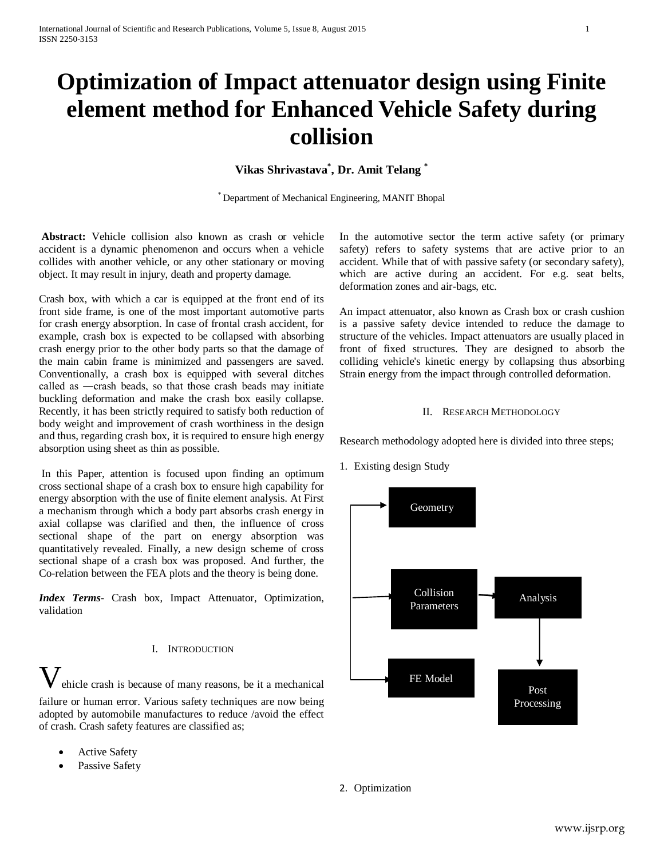# **Optimization of Impact attenuator design using Finite element method for Enhanced Vehicle Safety during collision**

# **Vikas Shrivastava\* , Dr. Amit Telang \***

\* Department of Mechanical Engineering, MANIT Bhopal

**Abstract:** Vehicle collision also known as crash or vehicle accident is a dynamic phenomenon and occurs when a vehicle collides with another vehicle, or any other stationary or moving object. It may result in injury, death and property damage.

Crash box, with which a car is equipped at the front end of its front side frame, is one of the most important automotive parts for crash energy absorption. In case of frontal crash accident, for example, crash box is expected to be collapsed with absorbing crash energy prior to the other body parts so that the damage of the main cabin frame is minimized and passengers are saved. Conventionally, a crash box is equipped with several ditches called as ―crash beads, so that those crash beads may initiate buckling deformation and make the crash box easily collapse. Recently, it has been strictly required to satisfy both reduction of body weight and improvement of crash worthiness in the design and thus, regarding crash box, it is required to ensure high energy absorption using sheet as thin as possible.

In this Paper, attention is focused upon finding an optimum cross sectional shape of a crash box to ensure high capability for energy absorption with the use of finite element analysis. At First a mechanism through which a body part absorbs crash energy in axial collapse was clarified and then, the influence of cross sectional shape of the part on energy absorption was quantitatively revealed. Finally, a new design scheme of cross sectional shape of a crash box was proposed. And further, the Co-relation between the FEA plots and the theory is being done.

*Index Terms*- Crash box, Impact Attenuator, Optimization, validation

## I. INTRODUCTION

ehicle crash is because of many reasons, be it a mechanical failure or human error. Various safety techniques are now being adopted by automobile manufactures to reduce /avoid the effect of crash. Crash safety features are classified as;

- Active Safety
- Passive Safety

In the automotive sector the term active safety (or primary safety) refers to safety systems that are active prior to an accident. While that of with passive safety (or secondary safety), which are active during an accident. For e.g. seat belts, deformation zones and air-bags, etc.

An impact attenuator, also known as Crash box or crash cushion is a passive safety device intended to reduce the damage to structure of the vehicles. Impact attenuators are usually placed in front of fixed structures. They are designed to absorb the colliding vehicle's kinetic energy by collapsing thus absorbing Strain energy from the impact through controlled deformation.

## II. RESEARCH METHODOLOGY

Research methodology adopted here is divided into three steps;

1. Existing design Study



## 2. Optimization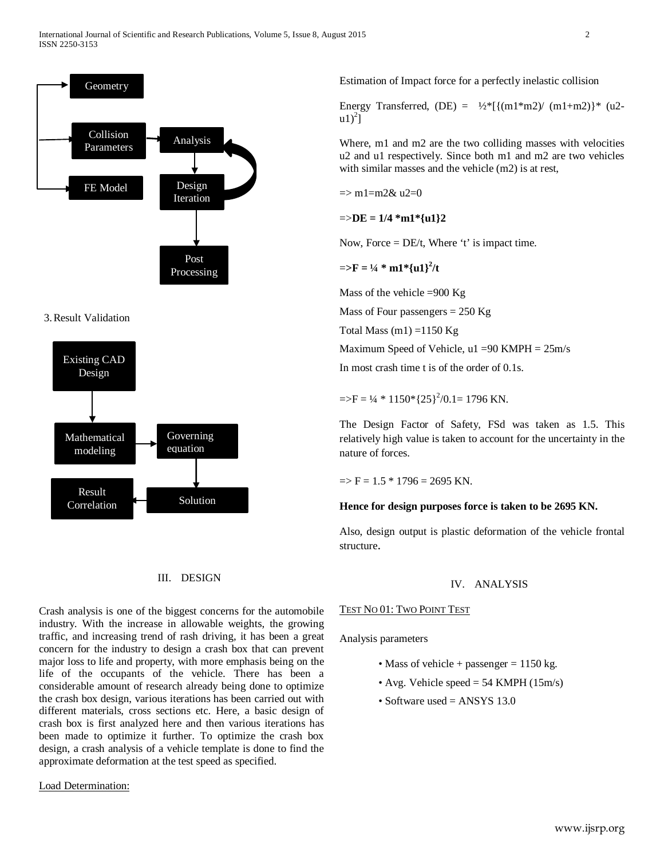

# 3.Result Validation



## III. DESIGN

Crash analysis is one of the biggest concerns for the automobile industry. With the increase in allowable weights, the growing traffic, and increasing trend of rash driving, it has been a great concern for the industry to design a crash box that can prevent major loss to life and property, with more emphasis being on the life of the occupants of the vehicle. There has been a considerable amount of research already being done to optimize the crash box design, various iterations has been carried out with different materials, cross sections etc. Here, a basic design of crash box is first analyzed here and then various iterations has been made to optimize it further. To optimize the crash box design, a crash analysis of a vehicle template is done to find the approximate deformation at the test speed as specified.

Load Determination:

Estimation of Impact force for a perfectly inelastic collision

Energy Transferred, (DE) =  $\frac{1}{2}$ [{(m1\*m2)/ (m1+m2)}\* (u2 $u1)^2$ ]

Where, m1 and m2 are the two colliding masses with velocities u2 and u1 respectively. Since both m1 and m2 are two vehicles with similar masses and the vehicle (m2) is at rest,

$$
=> m1\text{=}m2\&\ u2\text{=}0
$$

=>**DE = 1/4 \*m1\*{u1}2** 

Now, Force  $=$  DE/t, Where 't' is impact time.

$$
=>F = \frac{1}{4} * m1 * {u1}^2/t
$$

Mass of the vehicle =900 Kg

Mass of Four passengers  $= 250$  Kg

Total Mass  $(m1) = 1150$  Kg

Maximum Speed of Vehicle,  $u1 = 90$  KMPH =  $25m/s$ 

In most crash time t is of the order of 0.1s.

 $\Rightarrow$ F = ¼ \* 1150\*{25}<sup>2</sup>/0.1= 1796 KN.

The Design Factor of Safety, FSd was taken as 1.5. This relatively high value is taken to account for the uncertainty in the nature of forces.

 $\Rightarrow$  F = 1.5  $*$  1796 = 2695 KN.

## **Hence for design purposes force is taken to be 2695 KN.**

Also, design output is plastic deformation of the vehicle frontal structure.

## IV. ANALYSIS

## TEST NO 01: TWO POINT TEST

Analysis parameters

- Mass of vehicle + passenger =  $1150$  kg.
- Avg. Vehicle speed = 54 KMPH (15m/s)
- Software used = ANSYS 13.0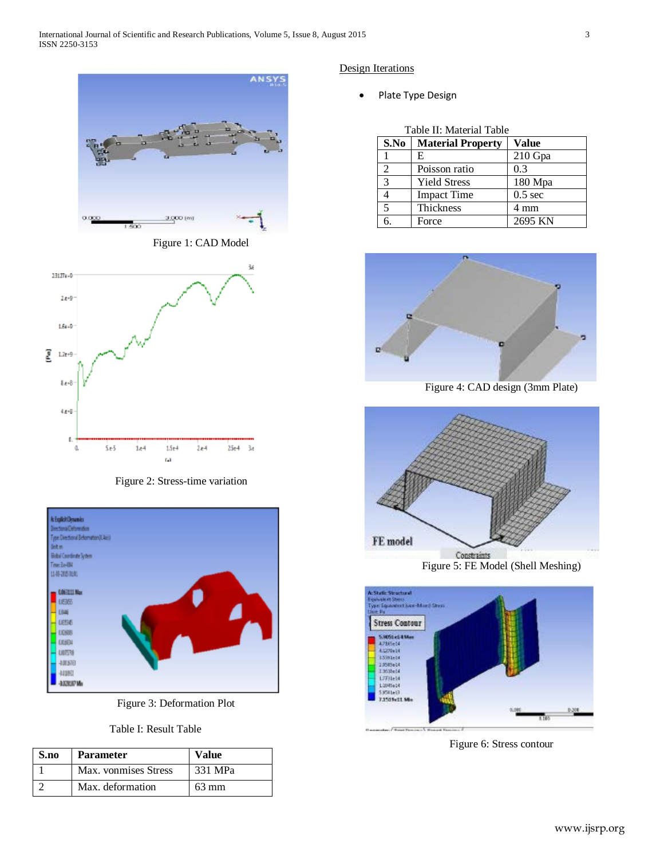

Figure 1: CAD Model



Figure 2: Stress-time variation



Figure 3: Deformation Plot

# Table I: Result Table

| S.no | <b>Parameter</b>     | <b>Value</b>    |
|------|----------------------|-----------------|
|      | Max. vonmises Stress | 331 MPa         |
|      | Max. deformation     | $63 \text{ mm}$ |

# Design Iterations

Plate Type Design

| S.No | <b>Material Property</b> | <b>Value</b> |
|------|--------------------------|--------------|
|      | E                        | 210 Gpa      |
| 2    | Poisson ratio            | 0.3          |
| 3    | <b>Yield Stress</b>      | 180 Mpa      |
|      | <b>Impact Time</b>       | $0.5$ sec    |
| 5    | Thickness                | 4 mm         |
|      | Force                    | 2695 KN      |



Figure 4: CAD design (3mm Plate)





Figure 6: Stress contour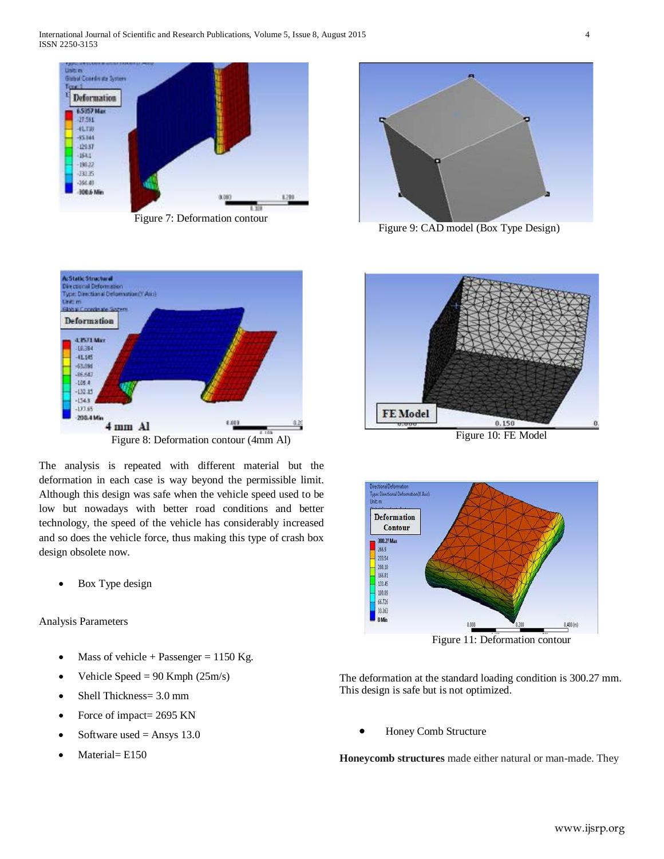

Figure 7: Deformation contour



Figure 9: CAD model (Box Type Design)



The analysis is repeated with different material but the deformation in each case is way beyond the permissible limit. Although this design was safe when the vehicle speed used to be low but nowadays with better road conditions and better technology, the speed of the vehicle has considerably increased and so does the vehicle force, thus making this type of crash box design obsolete now.

Box Type design

Analysis Parameters

- Mass of vehicle + Passenger =  $1150$  Kg.
- Vehicle Speed =  $90$  Kmph ( $25$ m/s)
- Shell Thickness= 3.0 mm
- Force of impact= 2695 KN
- Software used  $=$  Ansys 13.0
- $Material = E150$



Figure 10: FE Model



The deformation at the standard loading condition is 300.27 mm. This design is safe but is not optimized.

• Honey Comb Structure

**Honeycomb structures** made either natural or man-made. They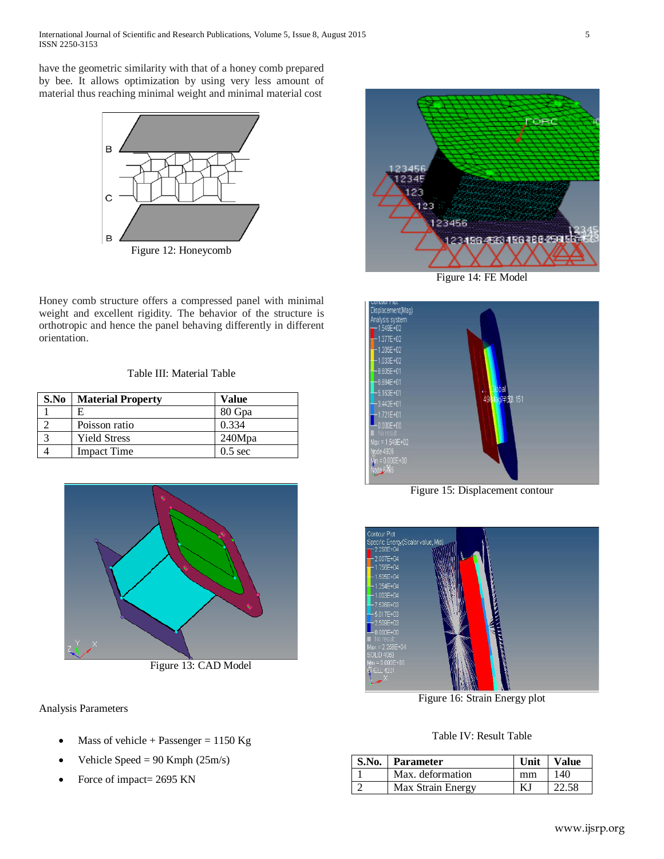have the geometric similarity with that of a honey comb prepared by bee. It allows optimization by using very less amount of material thus reaching minimal weight and minimal material cost



Honey comb structure offers a compressed panel with minimal weight and excellent rigidity. The behavior of the structure is orthotropic and hence the panel behaving differently in different orientation.

# Table III: Material Table

| S.No | <b>Material Property</b> | <b>Value</b>      |
|------|--------------------------|-------------------|
|      | E                        | 80 Gpa            |
|      | Poisson ratio            | 0.334             |
|      | <b>Yield Stress</b>      | 240Mpa            |
|      | <b>Impact Time</b>       | $0.5 \text{ sec}$ |

![](_page_4_Figure_6.jpeg)

Figure 13: CAD Model

Analysis Parameters

- Mass of vehicle + Passenger =  $1150$  Kg
- Vehicle Speed = 90 Kmph (25m/s)
- Force of impact= 2695 KN

![](_page_4_Figure_12.jpeg)

Figure 14: FE Model

![](_page_4_Picture_14.jpeg)

Figure 15: Displacement contour

![](_page_4_Picture_16.jpeg)

Figure 16: Strain Energy plot

Table IV: Result Table

| S.No. | Parameter         | Unit | <b>Value</b> |
|-------|-------------------|------|--------------|
|       | Max. deformation  | mm   | 140          |
|       | Max Strain Energy | K.   | 22.58        |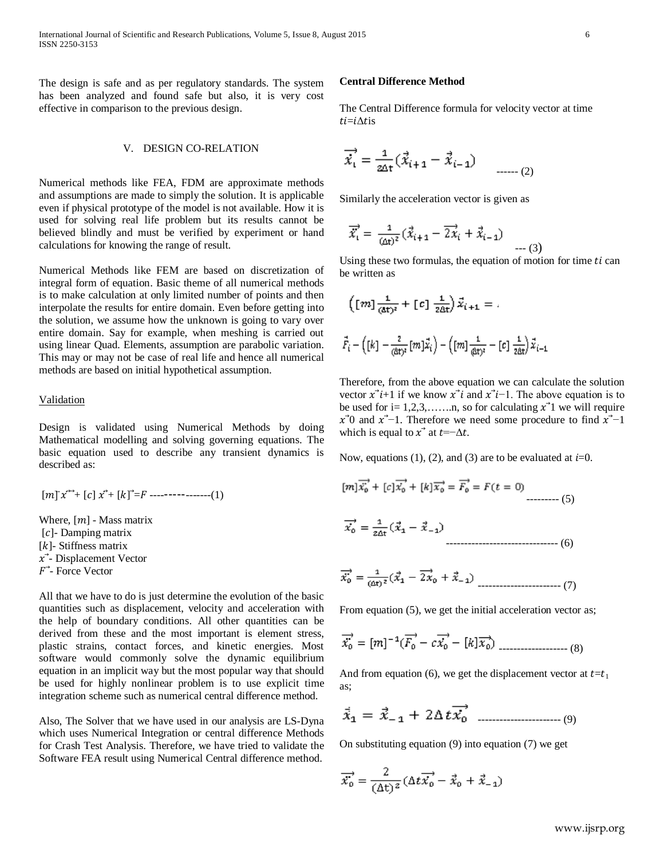The design is safe and as per regulatory standards. The system has been analyzed and found safe but also, it is very cost effective in comparison to the previous design.

#### V. DESIGN CO-RELATION

Numerical methods like FEA, FDM are approximate methods and assumptions are made to simply the solution. It is applicable even if physical prototype of the model is not available. How it is used for solving real life problem but its results cannot be believed blindly and must be verified by experiment or hand calculations for knowing the range of result.

Numerical Methods like FEM are based on discretization of integral form of equation. Basic theme of all numerical methods is to make calculation at only limited number of points and then interpolate the results for entire domain. Even before getting into the solution, we assume how the unknown is going to vary over entire domain. Say for example, when meshing is carried out using linear Quad. Elements, assumption are parabolic variation. This may or may not be case of real life and hence all numerical methods are based on initial hypothetical assumption.

## Validation

Design is validated using Numerical Methods by doing Mathematical modelling and solving governing equations. The basic equation used to describe any transient dynamics is described as:

 $[m]$   $x^{\rightarrow}$  +  $[c]$   $x^{\rightarrow}$  +  $[k]$ <sup> $\rightarrow$ </sup> =  $F$  ------------------(1)

Where,  $[m]$  - Mass matrix  $[c]$ - Damping matrix [ $k$ ]- Stiffness matrix  $\vec{x}$ - Displacement Vector  $F^*$ - Force Vector

All that we have to do is just determine the evolution of the basic quantities such as displacement, velocity and acceleration with the help of boundary conditions. All other quantities can be derived from these and the most important is element stress, plastic strains, contact forces, and kinetic energies. Most software would commonly solve the dynamic equilibrium equation in an implicit way but the most popular way that should be used for highly nonlinear problem is to use explicit time integration scheme such as numerical central difference method.

Also, The Solver that we have used in our analysis are LS-Dyna which uses Numerical Integration or central difference Methods for Crash Test Analysis. Therefore, we have tried to validate the Software FEA result using Numerical Central difference method.

## **Central Difference Method**

The Central Difference formula for velocity vector at time  $ti = i \Delta t$ is

$$
\overrightarrow{x}_{i} = \frac{1}{2\Delta t} (\vec{x}_{i+1} - \vec{x}_{i-1})
$$
 (2)

Similarly the acceleration vector is given as

$$
\vec{x}_i = \frac{1}{(\Delta t)^2} (\vec{x}_{i+1} - \vec{2x}_i + \vec{x}_{i-1})
$$
 (3)

Using these two formulas, the equation of motion for time  $t\bar{t}$  can be written as

$$
\left(\left[m\right]\frac{1}{\left(\delta t\right)^2} + \left[c\right]\frac{1}{2\delta t}\right)\vec{x}_{i+1} = 0
$$
\n
$$
\vec{F}_i - \left(\left[k\right] - \frac{2}{\left(\delta t\right)^2}\left[m\right]\vec{x}_i\right) - \left(\left[m\right]\frac{1}{\left(\delta t\right)^2} - \left[c\right]\frac{1}{2\delta t}\right)\vec{x}_{i+1}
$$

Therefore, from the above equation we can calculate the solution vector  $\vec{x}$  i+1 if we know  $\vec{x}$  and  $\vec{x}$  i-1. The above equation is to be used for i= 1,2,3,.......n, so for calculating  $x^2$ 1 we will require  $x^0$  and  $x^0$ −1. Therefore we need some procedure to find  $x^0$ −1 which is equal to  $x^2$  at  $t=-\Delta t$ .

Now, equations (1), (2), and (3) are to be evaluated at  $i=0$ .

$$
[m]\vec{x_0} + [c]\vec{x_0} + [k]\vec{x_0} = \vec{F_0} = F(t = 0)
$$
\n
$$
\vec{x_0} = \frac{1}{z\Delta t}(\vec{x}_1 - \vec{x}_{-1})
$$
\n
$$
\text{Answer: } (6)
$$

$$
\overrightarrow{x_0} = \frac{1}{(\Delta t)^2} (\vec{x}_1 - \overrightarrow{2x}_0 + \vec{x}_{-1}) \quad \dots \quad (7)
$$

From equation (5), we get the initial acceleration vector as;

$$
\vec{x_0} = [m]^{-1}(\vec{F_0} - c\vec{x_0} - [k]\vec{x_0})
$$
........(8)

And from equation (6), we get the displacement vector at  $t=t_1$ as;

$$
\vec{x}_1 = \vec{x}_{-1} + 2\Delta t \vec{x}_0
$$
 (9)

On substituting equation (9) into equation (7) we get

$$
\overrightarrow{x_0} = \frac{2}{(\Delta t)^2} (\Delta t \overrightarrow{x_0} - \overrightarrow{x}_0 + \overrightarrow{x}_{-1})
$$